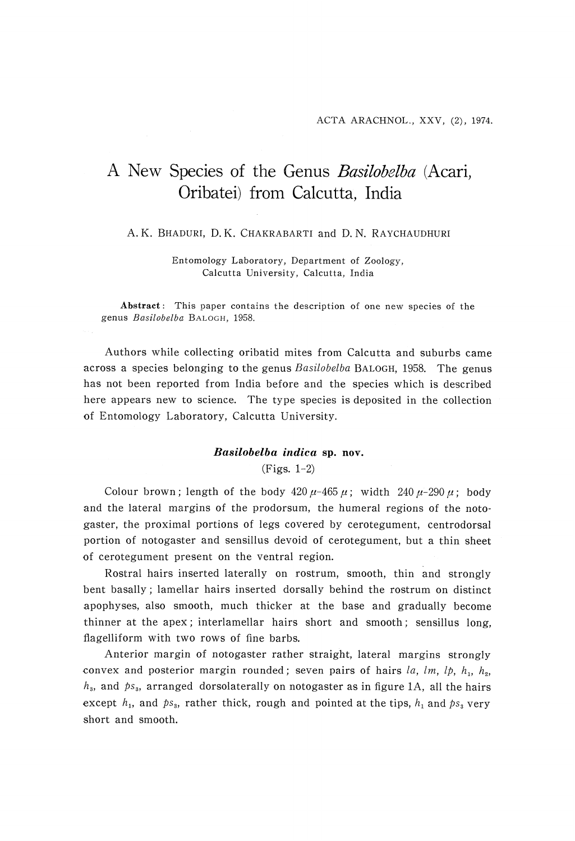## A New Species of the Genus Basilobelba (Acari, Oribatei) from Calcutta, India

## A. K. BHADURI, D. K. CHAKRABARTI and D. N. RAYCHAUDHURI

 Entomology Laboratory, Department of Zoology, Calcutta University, Calcutta, India

Abstract: This paper contains the description of one new species of the genus Basilobelba BALOGH, 1958.

 Authors while collecting oribatid mites from Calcutta and suburbs came across a species belonging to the genus Basilobelba BALOGH, 1958. The genus has not been reported from India before and the species which is described here appears new to science. The type species is deposited in the collection of Entomology Laboratory, Calcutta University.

## Basilobelba indica sp. nov.

(Figs. 1-2)

Colour brown; length of the body  $420 \mu - 465 \mu$ ; width  $240 \mu - 290 \mu$ ; body and the lateral margins of the prodorsum, the humeral regions of the notogaster, the proximal portions of legs covered by cerotegument, centrodorsal portion of notogaster and sensillus devoid of cerotegument, but a thin sheet of cerotegument present on the ventral region.

 Rostral hairs inserted laterally on rostrum, smooth, thin and strongly bent basally ; lamellar hairs inserted dorsally behind the rostrum on distinct apophyses, also smooth, much thicker at the base and gradually become thinner at the apex; interlamellar hairs short and smooth; sensillus long, flagelliform with two rows of fine barbs.

 Anterior margin of notogaster rather straight, lateral margins strongly convex and posterior margin rounded; seven pairs of hairs la, lm, lp,  $h_1$ ,  $h_2$ ,  $h_3$ , and  $ps_3$ , arranged dorsolaterally on notogaster as in figure 1A, all the hairs except  $h_1$ , and  $ps_3$ , rather thick, rough and pointed at the tips,  $h_1$  and  $ps_3$  very short and smooth.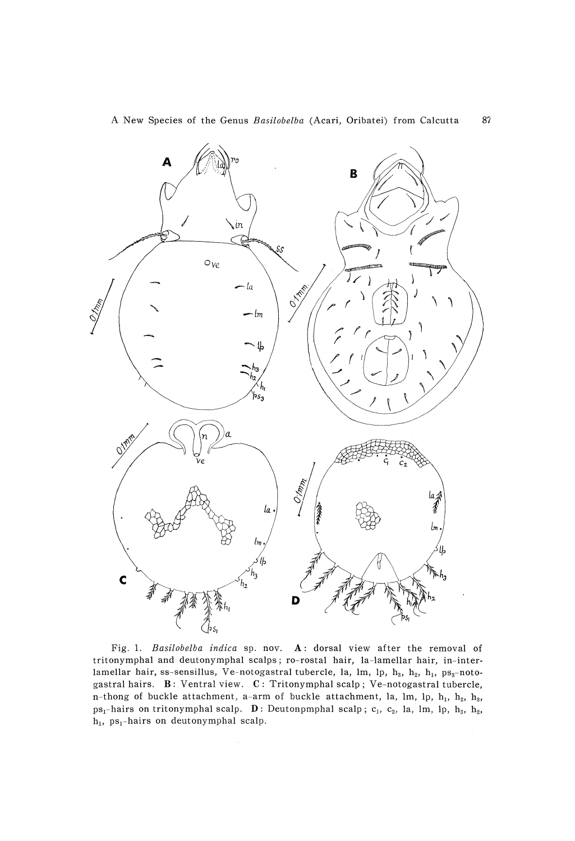

Fig. 1. Basilobelba indica sp. nov. A: dorsal view after the removal of tritonymphal and deutonymphal scalps; ro-rostal hair, la-lamellar hair, in-interlamellar hair, ss-sensillus, Ve-notogastral tubercle, la, lm, lp,  $h_3$ ,  $h_2$ ,  $h_1$ , ps<sub>3</sub>-notogastral hairs.  $B$ : Ventral view.  $C$ : Tritonymphal scalp; Ve-notogastral tubercle, n-thong of buckle attachment, a-arm of buckle attachment, la, lm, lp,  $h_1$ ,  $h_2$ ,  $h_3$ ,  $ps_1$ -hairs on tritonymphal scalp. D: Deutonpmphal scalp;  $c_1$ ,  $c_2$ , la, lm, lp,  $h_3$ ,  $h_2$ ,  $h_1$ , ps<sub>1</sub>-hairs on deutonymphal scalp.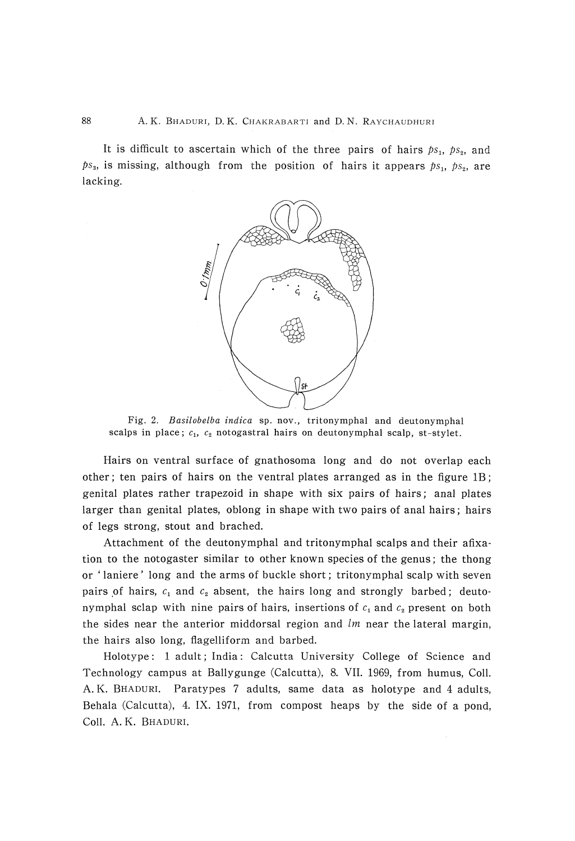It is difficult to ascertain which of the three pairs of hairs  $ps_1$ ,  $ps_2$ , and  $ps_{3}$ , is missing, although from the position of hairs it appears  $ps_{1}$ ,  $ps_{2}$ , are lacking.



Fig. 2. Basilobelba indica sp. nov., tritonymphal and deutonym scalps in place;  $c_1$ ,  $c_2$  notogastral hairs on deutonymphal scalp, st-sty

 Hairs on ventral surface of gnathosoma long and do not overlap each other; ten pairs of hairs on the ventral plates arranged as in the figure 1B; genital plates rather trapezoid in shape with six pairs of hairs; anal plates larger than genital plates, oblong in shape with two pairs of anal hairs; hairs of legs strong, stout and brached.

 Attachment of the deutonymphal and tritonymphal scalps and their afixation to the notogaster similar to other known species of the genus; the thong or ` laniere' long and the arms of buckle short; tritonymphal scalp with seven pairs of hairs,  $c_1$  and  $c_2$  absent, the hairs long and strongly barbed; deutonymphal sclap with nine pairs of hairs, insertions of  $c_1$  and  $c_2$  present on both the sides near the anterior middorsal region and  $lm$  near the lateral margin, the hairs also long, flagelliform and barbed.

 Holotype : 1 adult; India: Calcutta University College of Science and Technology campus at Ballygunge (Calcutta), 8. VII. 1969, from humus, Coll. A. K. BHADURI. Paratypes 7 adults, same data as holotype and 4 adults, Behala (Calcutta), 4. IX. 1971, from compost heaps by the side of a pond, Coll. A. K. BHADURI.